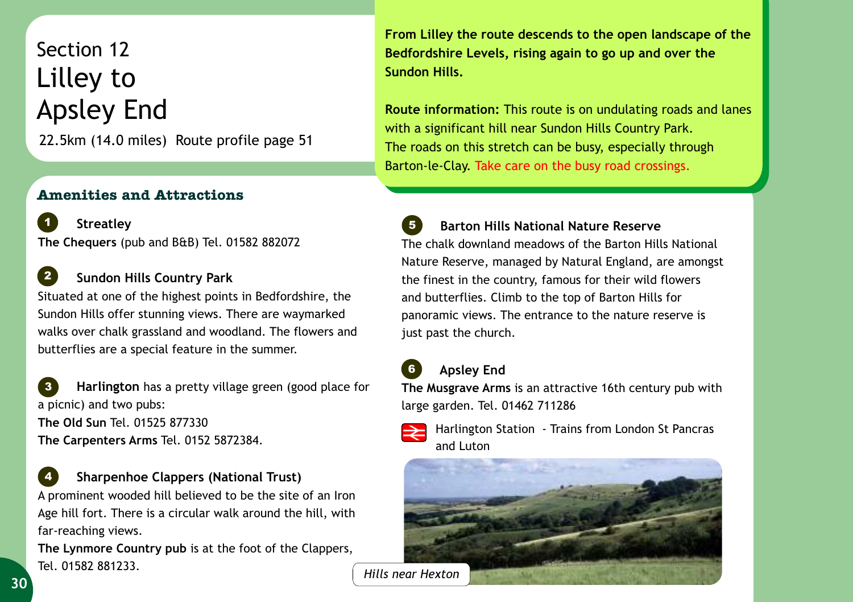22.5km (14.0 miles) Route profile page 51 Section 12 Lilley to Apsley End

## **Amenities and Attractions**

 **Streatley The Chequers** (pub and B&B) Tel. 01582 882072 *1*

## **Sundon Hills Country Park** *2*

Situated at one of the highest points in Bedfordshire, the Sundon Hills offer stunning views. There are waymarked walks over chalk grassland and woodland. The flowers and butterflies are a special feature in the summer.

 **Harlington** has a pretty village green (good place for a picnic) and two pubs: **The Old Sun** Tel. 01525 877330 **The Carpenters Arms** Tel. 0152 5872384. *3*

 **Sharpenhoe Clappers (National Trust)** A prominent wooded hill believed to be the site of an Iron Age hill fort. There is a circular walk around the hill, with far-reaching views. *4*

**The Lynmore Country pub** is at the foot of the Clappers, Tel. 01582 881233.

**From Lilley the route descends to the open landscape of the Bedfordshire Levels, rising again to go up and over the Sundon Hills.** 

**Route information:** This route is on undulating roads and lanes with a significant hill near Sundon Hills Country Park. The roads on this stretch can be busy, especially through Barton-le-Clay. Take care on the busy road crossings.

 **Barton Hills National Nature Reserve**  The chalk downland meadows of the Barton Hills National Nature Reserve, managed by Natural England, are amongst the finest in the country, famous for their wild flowers and butterflies. Climb to the top of Barton Hills for panoramic views. The entrance to the nature reserve is just past the church. *5*

## **Apsley End**

*6*

**The Musgrave Arms** is an attractive 16th century pub with large garden. Tel. 01462 711286



Harlington Station - Trains from London St Pancras